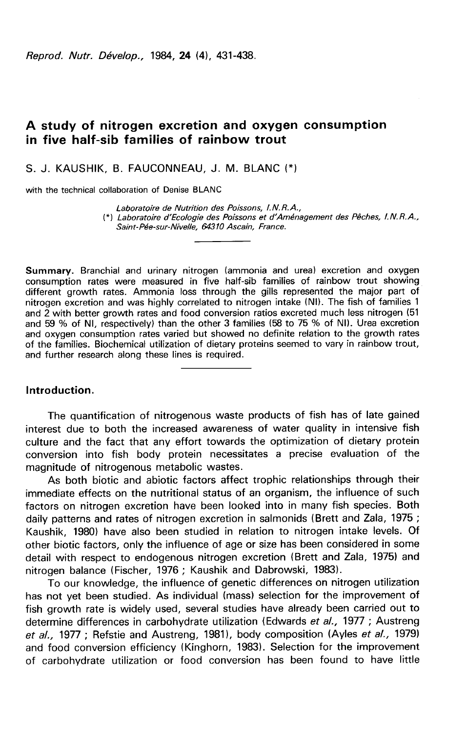Reprod. Nutr. Dévelop., 1984. 24 (4). 431-438.

# A study of nitrogen excretion and oxygen consumption in five half-sib families of rainbow trout

S. J. KAUSHIK, B. FAUCONNEAU, J. M. BLANC (\*)

with the technical collaboration of Denise BLANC

Laboratoire de Nutrition des Poissons, I.N.R.A., (\*) Laboratoire d'Ecologie des Poissons et d'Aménagement des Pêches, I.N.R.A., Saint-Pée-sur-Nivelle, 64310 Ascain, France.

Summary. Branchial and urinary nitrogen (ammonia and urea) excretion and oxygen consumption rates were measured in five half-sib families of rainbow trout showing different growth rates. Ammonia loss through the gills represented the major part of nitrogen excretion and was highly correlated to nitrogen intake (NI). The fish of families 1 and 2 with better growth rates and food conversion ratios excreted much less nitrogen (51 and 59 % of NI, respectively) than the other 3 families (58 to 75 % of NI). Urea excretion and oxygen consumption rates varied but showed no definite relation to the growth rates of the families. Biochemical utilization of dietary proteins seemed to vary in rainbow trout, and further research along these lines is required.

#### Introduction.

The quantification of nitrogenous waste products of fish has of late gained interest due to both the increased awareness of water quality in intensive fish culture and the fact that any effort towards the optimization of dietary protein conversion into fish body protein necessitates a precise evaluation of the magnitude of nitrogenous metabolic wastes.

As both biotic and abiotic factors affect trophic relationships through their immediate effects on the nutritional status of an organism, the influence of such factors on nitrogen excretion have been looked into in many fish species. Both daily patterns and rates of nitrogen excretion in salmonids (Brett and Zala, 1975 ; Kaushik, 1980) have also been studied in relation to nitrogen intake levels. Of other biotic factors, only the influence of age or size has been considered in some detail with respect to endogenous nitrogen excretion (Brett and Zala, 1975) and nitrogen balance (Fischer, 1976 ; Kaushik and Dabrowski, 1983).

To our knowledge, the influence of genetic differences on nitrogen utilization has not yet been studied. As individual (mass) selection for the improvement of fish growth rate is widely used, several studies have already been carried out to determine differences in carbohydrate utilization (Edwards et al., 1977; Austreng et  $al_{1}$ , 1977; Refstie and Austreng, 1981), body composition (Ayles et  $al_{1}$ , 1979) and food conversion efficiency (Kinghorn, 1983). Selection for the improvement of carbohydrate utilization or food conversion has been found to have little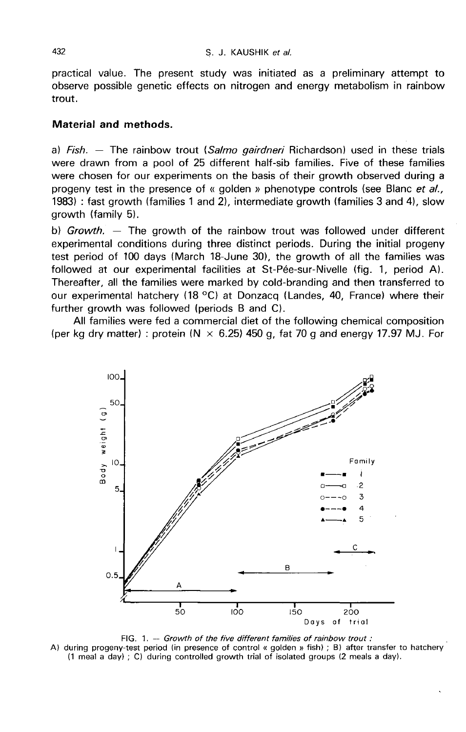practical value. The present study was initiated as a preliminary attempt to observe possible genetic effects on nitrogen and energy metabolism in rainbow trout.

## Material and methods.

a) Fish.  $-$  The rainbow trout (Salmo gairdneri Richardson) used in these trials were drawn from a pool of 25 different half-sib families. Five of these families were chosen for our experiments on the basis of their growth observed during a progeny test in the presence of « golden » phenotype controls (see Blanc et al., 1983) : fast growth (families 1 and 2), intermediate growth (families 3 and 4), slow growth (family 5).

b) Growth.  $-$  The growth of the rainbow trout was followed under different experimental conditions during three distinct periods. During the initial progeny test period of 100 days (March 18-June 30), the growth of all the families was followed at our experimental facilities at St-Pée-sur-Nivelle (fig. 1, period A). Thereafter, all the families were marked by cold-branding and then transferred to our experimental hatchery (18 °C) at Donzacq (Landes, 40, France) where their further growth was followed (periods B and C).

All families were fed a commercial diet of the following chemical composition (per kg dry matter) : protein ( $N \times 6.25$ ) 450 g, fat 70 g and energy 17.97 MJ. For



FIG. 1. -- Growth of the five different families of rainbow trout : A) during progeny-test period (in presence of control « golden » fish) ; B) after transfer to hatchery (1 meal a day) ; C) during controlled growth trial of isolated groups (2 meals a day).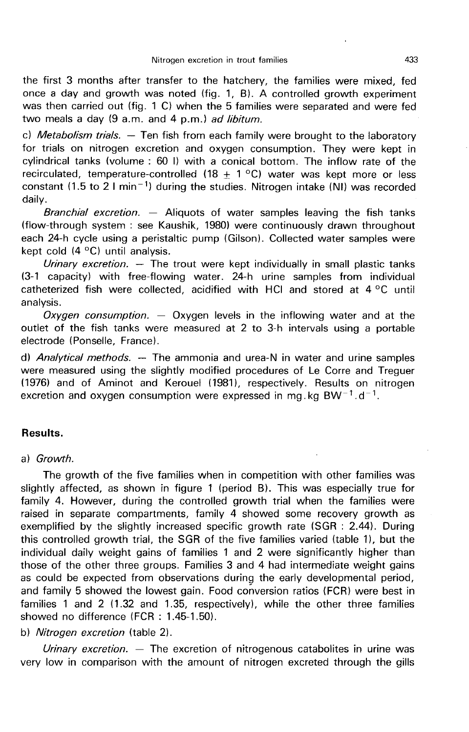the first 3 months after transfer to the hatchery, the families were mixed, fed once a day and growth was noted (fig. 1, B). A controlled growth experiment was then carried out (fig. 1 C) when the 5 families were separated and were fed two meals a day (9 a.m. and 4 p.m.) ad libitum.

c) Metabolism trials.  $-$  Ten fish from each family were brought to the laboratory for trials on nitrogen excretion and oxygen consumption. They were kept in cylindrical tanks (volume : 60 1) with a conical bottom. The inflow rate of the recirculated, temperature-controlled (18  $\pm$  1 °C) water was kept more or less constant (1.5 to 2 I min<sup>-1</sup>) during the studies. Nitrogen intake (NI) was recorded daily.

Branchial excretion.  $-$  Aliquots of water samples leaving the fish tanks (flow-through system : see Kaushik, 1980) were continuously drawn throughout each 24-h cycle using a peristaltic pump (Gilson). Collected water samples were kept cold (4 °C) until analysis.

Urinary excretion.  $-$  The trout were kept individually in small plastic tanks (3-1 capacity) with free-flowing water. 24-h urine samples from individual catheterized fish were collected, acidified with HCI and stored at 4 °C until analysis.

Oxygen consumption.  $-$  Oxygen levels in the inflowing water and at the outlet of the fish tanks were measured at 2 to 3-h intervals using a portable electrode (Ponselle, France).

d) Analytical methods. ― The ammonia and urea-N in water and urine samples were measured using the slightly modified procedures of Le Corre and Treguer (1976) and of Aminot and Kerouel (1981), respectively. Results on nitrogen excretion and oxygen consumption were expressed in mg. kg BW<sup>-1</sup>.d<sup>-1</sup>. buttet of the fish tanks were measured at 2 to 3-h intervals using a pelectrode (Ponselle, France).<br>
d) *Analytical methods.* — The ammonia and urea-N in water and urine swere measured using the slightly modified procedur

# Results.

## a) Growth.

The growth of the five families when in competition with other families was slightly affected, as shown in figure 1 (period B). This was especially true for family 4. However, during the controlled growth trial when the families were raised in separate compartments, family 4 showed some recovery growth as exemplified by the slightly increased specific growth rate (SGR : 2.44). During this controlled growth trial, the SGR of the five families varied (table 1), but the individual daily weight gains of families 1 and 2 were significantly higher than those of the other three groups. Families 3 and 4 had intermediate weight gains as could be expected from observations during the early developmental period, and family 5 showed the lowest gain. Food conversion ratios (FCR) were best in families 1 and 2 (1.32 and 1.35, respectively), while the other three families showed no difference (FCR : 1.45-1.50).

## b) Nitrogen excretion (table 2).

Urinary excretion. — The excretion of nitrogenous catabolites in urine was very low in comparison with the amount of nitrogen excreted through the gills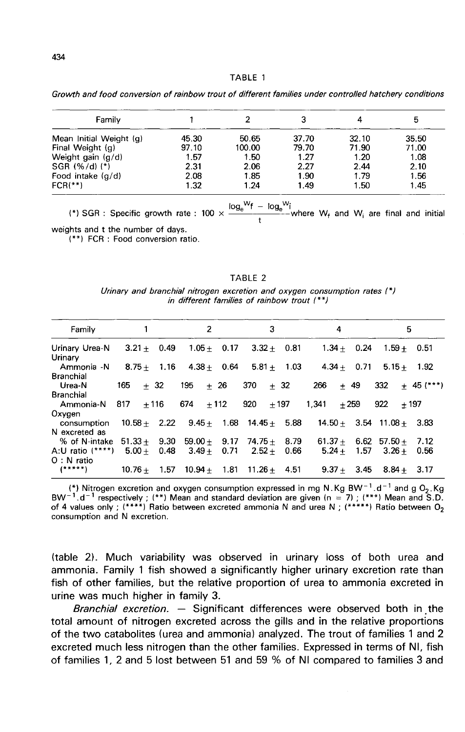Growth and food conversion of rainbow trout of different families under controlled hatchery conditions

| Family                  |       |        |       |       |       |  |
|-------------------------|-------|--------|-------|-------|-------|--|
| Mean Initial Weight (g) | 45.30 | 50.65  | 37.70 | 32.10 | 35.50 |  |
| Final Weight (g)        | 97.10 | 100.00 | 79.70 | 71.90 | 71.00 |  |
| Weight gain (g/d)       | 1.57  | 1.50   | 1.27  | 1.20  | 1.08  |  |
| $SGR$ (%/d) (*)         | 2.31  | 2.06   | 2.27  | 2.44  | 2.10  |  |
| Food intake (g/d)       | 2.08  | 1.85   | 1.90  | 1.79  | 1.56  |  |
| $FCR(**)$               | 1.32  | 1.24   | 1.49  | 1.50  | 1.45  |  |

(\*) SGR : Specific growth rate :  $100 \times \frac{\log_e{}^Wf - \log_e{}^Wi}{t}$  where  $W_f$  and  $W_i$  are final and initial weights and t the number of days.

(\*\*) FCR : Food conversion ratio.

**TABLE 2** 

Urinary and branchial nitrogen excretion and oxygen consumption rates (\*) in different families of rainbow trout (\*\*)

| Family                                        |             |               | 2                                           |        | 3                     |               | 4        |        | 5                             |              |
|-----------------------------------------------|-------------|---------------|---------------------------------------------|--------|-----------------------|---------------|----------|--------|-------------------------------|--------------|
| Urinary Urea-N<br>Urinary                     |             | $3.21 + 0.49$ | $1.05 + 0.17$                               |        |                       | $3.32 + 0.81$ |          |        | $1.34 + 0.24$ $1.59 + 0.51$   |              |
| Ammonia N 8.75 + 1.16 4.38 + 0.64 5.81 + 1.03 |             |               |                                             |        |                       |               |          |        | $4.34 + 0.71$ $5.15 + 1.92$   |              |
| Branchial<br>Urea-N                           | 165         | $+32$         | 195                                         | $+26$  | $370 + 32$            |               | 266      | $+49$  | 332                           | $+ 45$ (***) |
| <b>Branchial</b>                              |             |               |                                             |        |                       |               |          |        |                               |              |
| Ammonia-N                                     | $817 + 116$ |               | 674                                         | $+112$ | $920 + 197$           |               | 1.341    | $+259$ | $922 + 197$                   |              |
| Oxygen<br>consumption                         |             |               | $10.58 + 2.22$ $9.45 + 1.68$ $14.45 + 5.88$ |        |                       |               |          |        | $14.50 + 3.54$ $11.08 + 3.83$ |              |
| N excreted as                                 |             |               |                                             |        |                       |               |          |        |                               |              |
| % of N-intake                                 |             |               | $51.33 + 9.30$ $59.00 + 9.17$ $74.75 +$     |        |                       | 8.79          |          |        | $61.37 + 6.62$ 57.50 + 7.12   |              |
| A:U ratio $(****)$                            |             | $5.00 + 0.48$ | $3.49 +$                                    | 0.71   | $2.52 +$              | 0.66          | $5.24 +$ | 1.57   | $3.26 +$                      | 0.56         |
| $O: N$ ratio                                  |             |               |                                             |        |                       |               |          |        |                               |              |
| $(****)$                                      | $10.76 +$   | 1.57          | $10.94 +$                                   |        | $1.81$ $11.26 + 4.51$ |               | $9.37 +$ |        | $3.45$ $8.84 + 3.17$          |              |

(\*) Nitrogen excretion and oxygen consumption expressed in mg N.Kg BW<sup>-1</sup>.d<sup>-1</sup> and g O<sub>2</sub>.Kg BW<sup>-1</sup>.d<sup>-1</sup> respectively; (\*\*) Mean and standard deviation are given (n = 7); (\*\*\*) Mean and S.D. of 4 values only; (\*\*\*\*) Rat consumption and N excretion.

(table 2). Much variability was observed in urinary loss of both urea and ammonia. Family 1 fish showed a significantly higher urinary excretion rate than fish of other families, but the relative proportion of urea to ammonia excreted in urine was much higher in family 3.

Branchial excretion. — Significant differences were observed both in the total amount of nitrogen excreted across the gills and in the relative proportions of the two catabolites (urea and ammonia) analyzed. The trout of families 1 and 2 excreted much less nitrogen than the other families. Expressed in terms of Ni, fish of families 1, 2 and 5 lost between 51 and 59 % of NI compared to families 3 and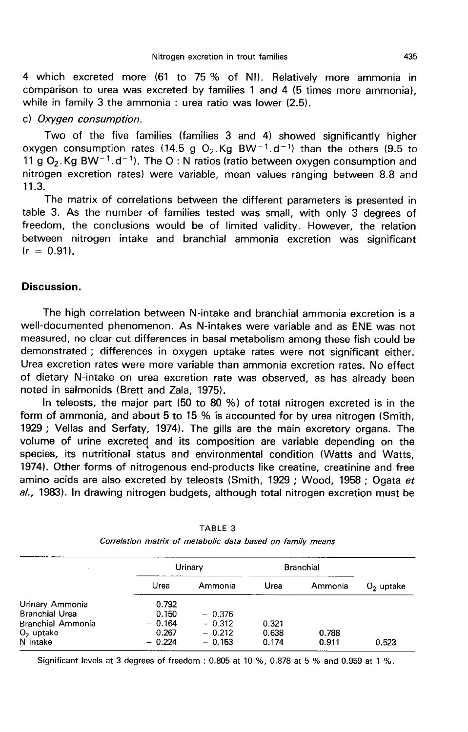4 which excreted more (61 to 75 % of NI). Relatively more ammonia in comparison to urea was excreted by families 1 and 4 (5 times more ammonia), while in family 3 the ammonia : urea ratio was lower (2.5).

#### c) Oxygen consumption.

Two of the five families (families 3 and 4) showed significantly higher oxygen consumption rates (14.5 g O<sub>2</sub>.Kg BW<sup>-1</sup>.d<sup>-1</sup>) than the others (9.5 to 11 g  $O_2$ . Kg BW<sup>-1</sup>.d<sup>-1</sup>). The O: N ratios (ratio between oxygen consumption and comparison to trea was excreted by families 1 and 4 to times more ammonia),<br>while in family 3 the ammonia : urea ratio was lower (2.5).<br>c) *Oxygen consumption*.<br>Two of the five families (families 3 and 4) showed significa 11.3.

The matrix of correlations between the different parameters is presented in table 3. As the number of families tested was small, with only 3 degrees of freedom, the conclusions would be of limited validity. However, the relation between nitrogen intake and branchial ammonia excretion was significant  $(r = 0.91)$ .

## Discussion.

The high correlation between N-intake and branchial ammonia excretion is a well-documented phenomenon. As N-intakes were variable and as ENE was not measured, no clear-cut differences in basal metabolism among these fish could be demonstrated ; differences in oxygen uptake rates were not significant either. Urea excretion rates were more variable than ammonia excretion rates. No effect of dietary N-intake on urea excretion rate was observed, as has already been noted in salmonids (Brett and Zala, 1975).

In teleosts, the major part (50 to 80 %) of total nitrogen excreted is in the form of ammonia, and about 5 to 15 % is accounted for by urea nitrogen (Smith, 1929 ; Vellas and Serfaty, 1974). The gills are the main excretory organs. The volume of urine excreted and its composition are variable depending on the species, its nutritional status and environmental condition (Watts and Watts, 1974). Other forms of nitrogenous end-products like creatine, creatinine and free amino acids are also excreted by teleosts (Smith, 1929 ; Wood, 1958 ; Ogata et  $a$ ., 1983). In drawing nitrogen budgets, although total nitrogen excretion must be

|                       |          | Urinary  | <b>Branchial</b> |         |             |
|-----------------------|----------|----------|------------------|---------|-------------|
|                       | Urea     | Ammonia  | Urea             | Ammonia | $O2$ uptake |
| Urinary Ammonia       | 0.792    |          |                  |         |             |
| Branchial Urea        | 0.150    | $-0.376$ |                  |         |             |
| Branchial Ammonia     | $-0.164$ | $-0.312$ | 0.321            |         |             |
| O <sub>2</sub> uptake | 0.267    | $-0.212$ | 0.638            | 0.788   |             |
| N intake              | $-0.224$ | $-0.153$ | 0.174            | 0.911   | 0.523       |

| TABLE 3                                                    |  |  |  |  |  |  |  |  |  |
|------------------------------------------------------------|--|--|--|--|--|--|--|--|--|
| Correlation matrix of metabolic data based on family means |  |  |  |  |  |  |  |  |  |

Significant levels at 3 degrees of freedom: 0.805 at 10 %, 0.878 at 5 % and 0.959 at 1 %.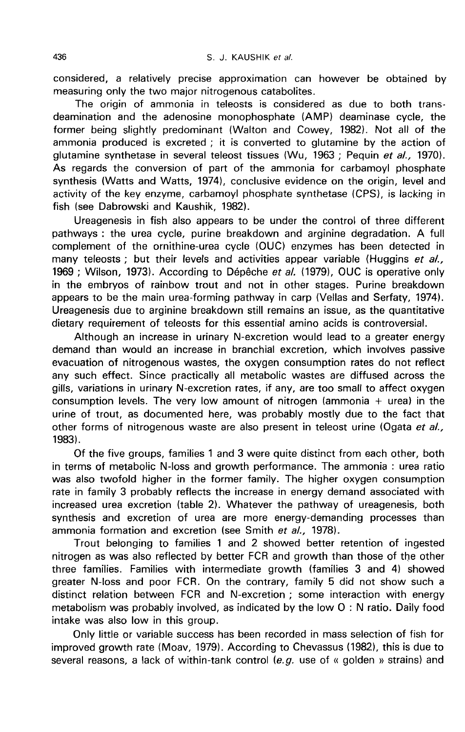considered, a relatively precise approximation can however be obtained by measuring only the two major nitrogenous catabolites.

The origin of ammonia in teleosts is considered as due to both transdeamination and the adenosine monophosphate (AMP) deaminase cycle, the former being slightly predominant (Walton and Cowey, 1982). Not all of the ammonia produced is excreted ; it is converted to glutamine by the action of glutamine synthetase in several teleost tissues (Wu, 1963; Pequin et al., 1970). As regards the conversion of part of the ammonia for carbamoyl phosphate synthesis (Watts and Watts, 1974), conclusive evidence on the origin, level and activity of the key enzyme, carbamoyl phosphate synthetase (CPS), is lacking in fish (see Dabrowski and Kaushik, 1982).

Ureagenesis in fish also appears to be under the control of three different pathways : the urea cycle, purine breakdown and arginine degradation. A full complement of the ornithine-urea cycle (OUC) enzymes has been detected in many teleosts ; but their levels and activities appear variable (Huggins et al., 1969 ; Wilson, 1973). According to Dépêche et al. (1979), OUC is operative only in the embryos of rainbow trout and not in other stages. Purine breakdown appears to be the main urea-forming pathway in carp (Vellas and Serfaty, 1974). Ureagenesis due to arginine breakdown still remains an issue, as the quantitative dietary requirement of teleosts for this essential amino acids is controversial.

Although an increase in urinary N-excretion would lead to a greater energy demand than would an increase in branchial excretion, which involves passive evacuation of nitrogenous wastes, the oxygen consumption rates do not reflect any such effect. Since practically all metabolic wastes are diffused across the gills, variations in urinary N-excretion rates, if any, are too small to affect oxygen consumption levels. The very low amount of nitrogen (ammonia  $+$  urea) in the urine of trout, as documented here, was probably mostly due to the fact that other forms of nitrogenous waste are also present in teleost urine (Ogata et al., 1983).

Of the five groups, families 1 and 3 were quite distinct from each other, both in terms of metabolic N-loss and growth performance. The ammonia : urea ratio was also twofold higher in the former family. The higher oxygen consumption rate in family 3 probably reflects the increase in energy demand associated with increased urea excretion (table 2). Whatever the pathway of ureagenesis, both synthesis and excretion of urea are more energy-demanding processes than ammonia formation and excretion (see Smith et al., 1978).

Trout belonging to families 1 and 2 showed better retention of ingested nitrogen as was also reflected by better FCR and growth than those of the other three families. Families with intermediate growth (families 3 and 4) showed greater N-loss and poor FCR. On the contrary, family 5 did not show such a distinct relation between FCR and N-excretion ; some interaction with energy metabolism was probably involved, as indicated by the low 0 : N ratio. Daily food intake was also low in this group.

Only little or variable success has been recorded in mass selection of fish for improved growth rate (Moav, 1979). According to Chevassus (1982), this is due to several reasons, a lack of within-tank control (e.g. use of « golden » strains) and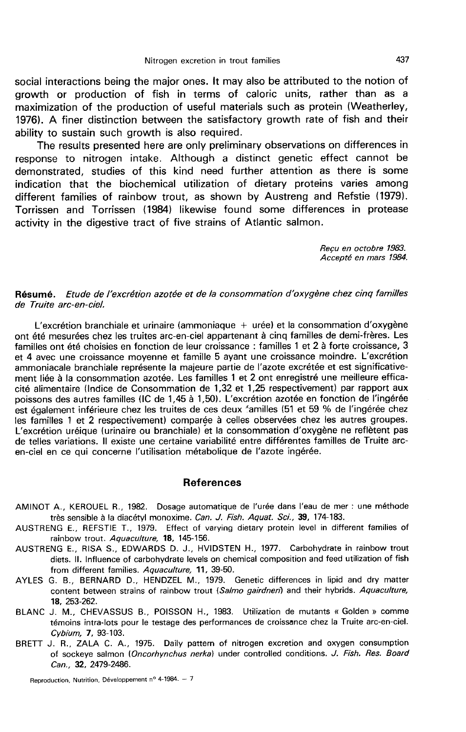social interactions being the major ones. It may also be attributed to the notion of growth or production of fish in terms of caloric units, rather than as a maximization of the production of useful materials such as protein (Weatherley, 1976). A finer distinction between the satisfactory growth rate of fish and their ability to sustain such growth is also required.

The results presented here are only preliminary observations on differences in response to nitrogen intake. Although a distinct genetic effect cannot be demonstrated, studies of this kind need further attention as there is some indication that the biochemical utilization of dietary proteins varies among different families of rainbow trout, as shown by Austreng and Refstie (1979). Torrissen and Torrissen (1984) likewise found some differences in protease activity in the digestive tract of five strains of Atlantic salmon.

> Recu en octobre 1983. Accepte en mars 1984.

#### Résumé. Etude de l'excrétion azotée et de la consommation d'oxygène chez cinq familles de Truite arc-en-ciel.

L'excrétion branchiale et urinaire (ammoniaque + urée) et la consommation d'oxygène ont été mesurées chez les truites arc-en-ciel appartenant à cinq familles de demi-frères. Les familles ont été choisies en fonction de leur croissance : familles 1 et 2 à forte croissance, 3 et 4 avec une croissance moyenne et famille 5 ayant une croissance moindre. L'excrétion ammoniacale branchiale représente la majeure partie de l'azote excrétée et est significative ment liée à la consommation azotée. Les familles 1 et 2 ont enregistré une meilleure efficacité alimentaire (Indice de Consommation de 1,32 et 1,25 respectivement) par rapport aux est également inférieure chez les truites de ces deux 'amilles (51 et 59 % de l'ingérée chez les familles 1 et 2 respectivement) comparée à celles observées chez les autres groupes. L'excrétion uréique (urinaire ou branchiale) et la consommation d'oxygène ne reflètent pas de telles variations. Il existe une certaine variabilité entre différentes familles de Truite arcen-ciel en ce qui concerne l'utilisation métabolique de l'azote ingérée.

#### References

- AMINOT A., KEROUEL R., 1982. Dosage automatique de l'urée dans l'eau de mer : une méthode très sensible à la diacétyl monoxime. Can. J. Fish. Aquat. Sci., 39, 174-183.
- AUSTRENG E., REFSTIE T., 1979. Effect of varying dietary protein level in different families of rainbow trout. Aquaculture, 18, 145-156.
- AUSTRENG E., RISA S., EDWARDS D. J., HVIDSTEN H., 1977. Carbohydrate in rainbow trout diets. 11. Influence of carbohydrate levels on chemical composition and feed utilization of fish from different families. Aquaculture, 11, 39-50.
- AYLES G. B., BERNARD D., HENDZEL M., 1979. Genetic differences in lipid and dry matter content between strains of rainbow trout (Salmo gairdneri) and their hybrids. Aquaculture, 18, 253-262.
- BLANC J. M., CHEVASSUS B., POISSON H., 1983. Utilization de mutants « Golden » comme témoins intra-lots pour le testage des performances de croissance chez la Truite arc-en-ciel. Cybium, 7, 93-103.
- BRETT J. R., ZALA C. A., 1975. Daily pattern of nitrogen excretion and oxygen consumption of sockeye salmon (Oncorhynchus nerka) under controlled conditions. J. Fish. Res. Board Can., 32, 2479-2486.

Reproduction, Nutrition, Développement nº 4-1984. - 7